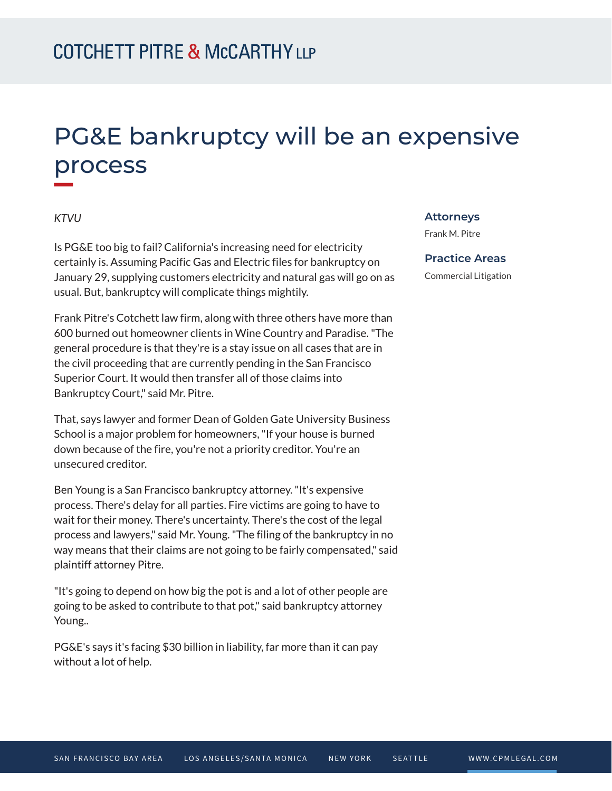# PG&E bankruptcy will be an expensive process

### *KTVU*

**William** 

Is PG&E too big to fail? California's increasing need for electricity certainly is. Assuming Pacific Gas and Electric files for bankruptcy on January 29, supplying customers electricity and natural gas will go on as usual. But, bankruptcy will complicate things mightily.

Frank Pitre's Cotchett law firm, along with three others have more than 600 burned out homeowner clients in Wine Country and Paradise. "The general procedure is that they're is a stay issue on all cases that are in the civil proceeding that are currently pending in the San Francisco Superior Court. It would then transfer all of those claims into Bankruptcy Court," said Mr. Pitre.

That, says lawyer and former Dean of Golden Gate University Business School is a major problem for homeowners, "If your house is burned down because of the fire, you're not a priority creditor. You're an unsecured creditor.

Ben Young is a San Francisco bankruptcy attorney. "It's expensive process. There's delay for all parties. Fire victims are going to have to wait for their money. There's uncertainty. There's the cost of the legal process and lawyers," said Mr. Young. "The filing of the bankruptcy in no way means that their claims are not going to be fairly compensated," said plaintiff attorney Pitre.

"It's going to depend on how big the pot is and a lot of other people are going to be asked to contribute to that pot," said bankruptcy attorney Young..

PG&E's says it's facing \$30 billion in liability, far more than it can pay without a lot of help.

#### **Attorneys**

Frank M. Pitre

#### **Practice Areas**

Commercial Litigation